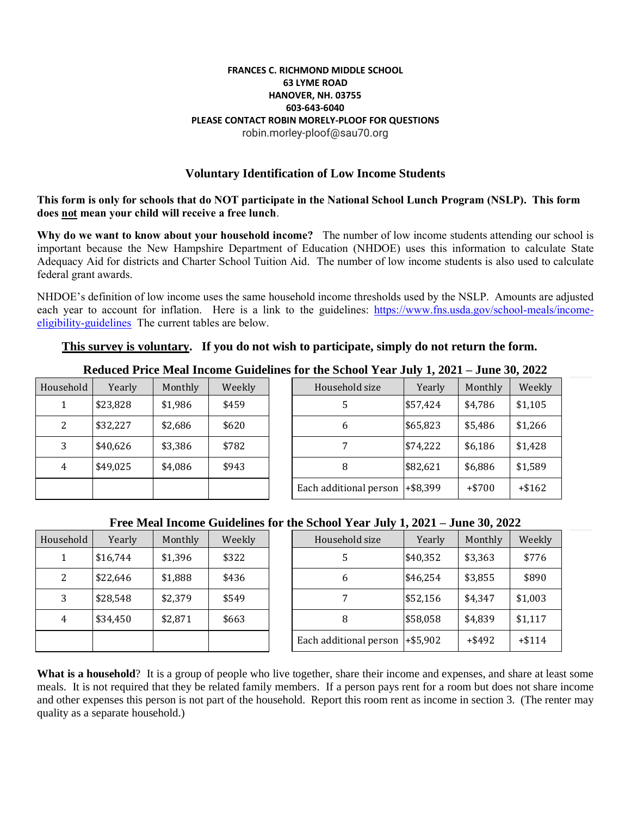#### **FRANCES C. RICHMOND MIDDLE SCHOOL 63 LYME ROAD HANOVER, NH. 03755 603-643-6040 PLEASE CONTACT ROBIN MORELY-PLOOF FOR QUESTIONS** robin.morley-ploof@sau70.org

### **Voluntary Identification of Low Income Students**

**This form is only for schools that do NOT participate in the National School Lunch Program (NSLP). This form does not mean your child will receive a free lunch**.

**Why do we want to know about your household income?** The number of low income students attending our school is important because the New Hampshire Department of Education (NHDOE) uses this information to calculate State Adequacy Aid for districts and Charter School Tuition Aid. The number of low income students is also used to calculate federal grant awards.

NHDOE's definition of low income uses the same household income thresholds used by the NSLP. Amounts are adjusted each year to account for inflation. Here is a link to the guidelines: [https://www.fns.usda.gov/school-meals/income](https://www.fns.usda.gov/school-meals/income-eligibility-guidelines)[eligibility-guidelines](https://www.fns.usda.gov/school-meals/income-eligibility-guidelines) The current tables are below.

### **This survey is voluntary. If you do not wish to participate, simply do not return the form.**

|           |          |         |        | Ilumuu 1 Iluu Miumi Illumii Guluullio Idi Vilu Dulloof I umf Omiy Il 2021 |          | 99.1100012022 |          |
|-----------|----------|---------|--------|---------------------------------------------------------------------------|----------|---------------|----------|
| Household | Yearly   | Monthly | Weekly | Household size                                                            | Yearly   | Monthly       | Weekly   |
|           | \$23,828 | \$1,986 | \$459  | 5                                                                         | \$57,424 | \$4,786       | \$1,105  |
| 2         | \$32,227 | \$2,686 | \$620  | 6                                                                         | \$65,823 | \$5,486       | \$1,266  |
|           | \$40,626 | \$3,386 | \$782  |                                                                           | \$74,222 | \$6,186       | \$1,428  |
| 4         | \$49,025 | \$4,086 | \$943  | 8                                                                         | \$82,621 | \$6,886       | \$1,589  |
|           |          |         |        | Each additional person $ +\$8,399$                                        |          | $+ $700$      | $+ $162$ |

## **Reduced Price Meal Income Guidelines for the School Year July 1, 2021 – June 30, 2022**

### **Free Meal Income Guidelines for the School Year July 1, 2021 – June 30, 2022**

| Household | Yearly   | Monthly | Weekly |
|-----------|----------|---------|--------|
|           | \$16,744 | \$1,396 | \$322  |
| 2         | \$22,646 | \$1,888 | \$436  |
| 3         | \$28,548 | \$2,379 | \$549  |
| 4         | \$34,450 | \$2,871 | \$663  |
|           |          |         |        |

| sehold       | Yearly   | Monthly | Weekly | Household size         | Yearly      | Monthly   | Weekly   |
|--------------|----------|---------|--------|------------------------|-------------|-----------|----------|
| $\mathbf{1}$ | \$16,744 | \$1,396 | \$322  | 5                      | \$40,352    | \$3,363   | \$776    |
| 2            | \$22,646 | \$1,888 | \$436  | 6                      | \$46,254    | \$3,855   | \$890    |
| 3            | \$28,548 | \$2,379 | \$549  |                        | \$52,156    | \$4,347   | \$1,003  |
| 4            | \$34,450 | \$2,871 | \$663  | 8                      | \$58,058    | \$4,839   | \$1,117  |
|              |          |         |        | Each additional person | $+$ \$5,902 | $+$ \$492 | $+ $114$ |

**What is a household**? It is a group of people who live together, share their income and expenses, and share at least some meals. It is not required that they be related family members. If a person pays rent for a room but does not share income and other expenses this person is not part of the household. Report this room rent as income in section 3. (The renter may quality as a separate household.)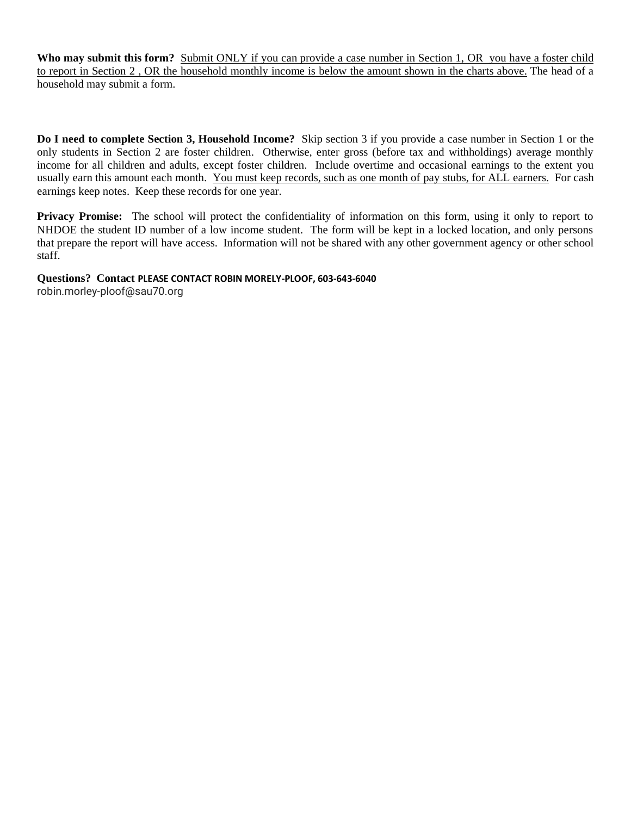**Who may submit this form?** Submit ONLY if you can provide a case number in Section 1, OR you have a foster child to report in Section 2 , OR the household monthly income is below the amount shown in the charts above. The head of a household may submit a form.

**Do I need to complete Section 3, Household Income?** Skip section 3 if you provide a case number in Section 1 or the only students in Section 2 are foster children. Otherwise, enter gross (before tax and withholdings) average monthly income for all children and adults, except foster children. Include overtime and occasional earnings to the extent you usually earn this amount each month. You must keep records, such as one month of pay stubs, for ALL earners. For cash earnings keep notes. Keep these records for one year.

**Privacy Promise:** The school will protect the confidentiality of information on this form, using it only to report to NHDOE the student ID number of a low income student. The form will be kept in a locked location, and only persons that prepare the report will have access. Information will not be shared with any other government agency or other school staff.

## **Questions? Contact PLEASE CONTACT ROBIN MORELY-PLOOF, 603-643-6040**

robin.morley-ploof@sau70.org